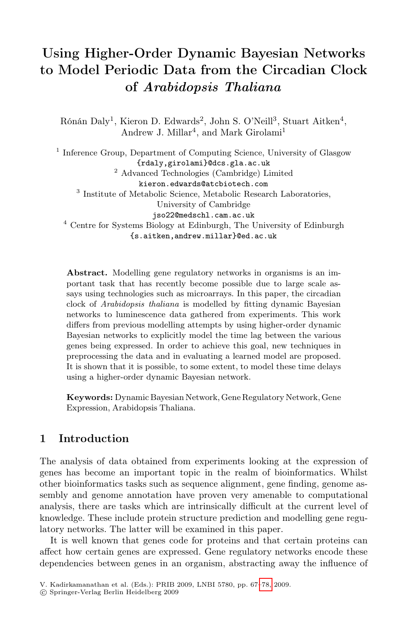# Using Higher-Order Dynamic Bayesian Networks to Model Periodic Data from the Circadian Clock of Arabidopsis Thaliana

Rónán Daly<sup>1</sup>, Kieron D. Edwards<sup>2</sup>, John S. O'Neill<sup>3</sup>, Stuart Aitken<sup>4</sup>, Andrew J. Millar<sup>4</sup>, and Mark Girolami<sup>1</sup>

<sup>1</sup> Inference Group, Department of Computing Science, University of Glasgow  $\{r$ daly,girolami}@dcs.gla.ac.uk $^2$ Advanced Technologies (Cambridge) Limited kieron.edwards@atcbiotech.com <sup>3</sup> Institute of Metabolic Science, Metabolic Research Laboratories, University of Cambridge jso22@medschl.cam.ac.uk <sup>4</sup> Centre for Systems Biology at Edinburgh, The University of Edinburgh {s.aitken,andrew.millar}@ed.ac.uk

Abstract. Modelling gene regulatory networks in organisms is an important task that has recently become possible due to large scale assays using technologies such as microarrays. In this paper, the circadian clock of Arabidopsis thaliana is modelled by fitting dynamic Bayesian networks to luminescence data gathered from experiments. This work differs from previous modelling attempts by using higher-order dynamic Bayesian networks to explicitly model the time lag between the various genes being expressed. In order to achieve this goal, new techniques in preprocessing the data and in evaluating a learned model are proposed. It is shown that it is possible, to some extent, to model these time delays using a higher-order dynamic Bayesian network.

Keywords: Dynamic Bayesian Network, Gene Regulatory Network, Gene Expression, Arabidopsis Thaliana.

# 1 Introduction

The analysis of data obtained from experiments looking at the expression of genes has become an important topic in the realm of bioinformatics. Whilst other bioinformatics tasks such as sequence alignment, gene finding, genome assembly and genome annotation have proven very amenable to computational analysis, there are tasks which are intrinsically difficult at the current level of knowledge. These include protein structure prediction and modelling gene regulatory networks. The latter will be examined in this paper.

It is well known that genes code for proteins and that certain proteins can affect how certain genes are expressed. Gene regulatory networks encode these dependencies between genes in an organism, abstracting away the influence of

V. Kadirkamanathan et al. (Eds.): PRIB 2009, LNBI 5780, pp. 67[–78,](#page-11-0) 2009.

<sup>!</sup>c Springer-Verlag Berlin Heidelberg 2009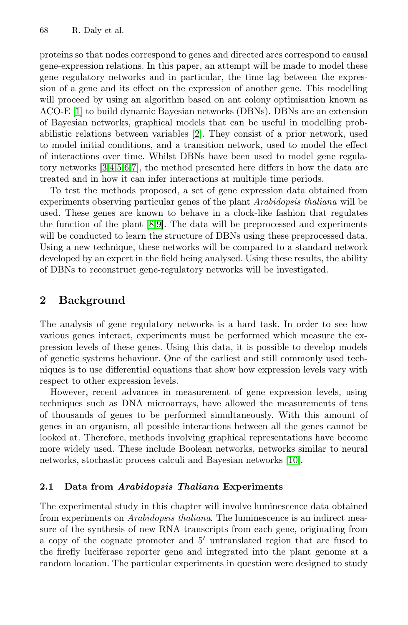proteins so that nodes correspond to genes and directed arcs correspond to causal gene-expression relations. In this paper, an attempt will be made to model these gene regulatory networks and in particular, the time lag between the expression of a gene and its effect on the expression of another gene. This modelling will proceed by using an algorithm based on ant colony optimisation known as ACO-E [\[1\]](#page-10-0) to build dynamic Bayesian networks (DBNs). DBNs are an extension of Bayesian networks, graphical models that can be useful in modelling probabilistic relations between variables [\[2\]](#page-10-1). They consist of a prior network, used to model initial conditions, and a transition network, used to model the effect of interactions over time. Whilst DBNs have been used to model gene regulatory networks [\[3,](#page-10-2)[4](#page-10-3)[,5](#page-11-2)[,6](#page-11-3)[,7\]](#page-11-4), the method presented here differs in how the data are treated and in how it can infer interactions at multiple time periods.

To test the methods proposed, a set of gene expression data obtained from experiments observing particular genes of the plant Arabidopsis thaliana will be used. These genes are known to behave in a clock-like fashion that regulates the function of the plant [\[8](#page-11-5)[,9\]](#page-11-6). The data will be preprocessed and experiments will be conducted to learn the structure of DBNs using these preprocessed data. Using a new technique, these networks will be compared to a standard network developed by an expert in the field being analysed. Using these results, the ability of DBNs to reconstruct gene-regulatory networks will be investigated.

# 2 Background

The analysis of gene regulatory networks is a hard task. In order to see how various genes interact, experiments must be performed which measure the expression levels of these genes. Using this data, it is possible to develop models of genetic systems behaviour. One of the earliest and still commonly used techniques is to use differential equations that show how expression levels vary with respect to other expression levels.

<span id="page-1-0"></span>However, recent advances in measurement of gene expression levels, using techniques such as DNA microarrays, have allowed the measurements of tens of thousands of genes to be performed simultaneously. With this amount of genes in an organism, all possible interactions between all the genes cannot be looked at. Therefore, methods involving graphical representations have become more widely used. These include Boolean networks, networks similar to neural networks, stochastic process calculi and Bayesian networks [\[10\]](#page-11-1).

# 2.1 Data from Arabidopsis Thaliana Experiments

The experimental study in this chapter will involve luminescence data obtained from experiments on Arabidopsis thaliana. The luminescence is an indirect measure of the synthesis of new RNA transcripts from each gene, originating from a copy of the cognate promoter and 5" untranslated region that are fused to the firefly luciferase reporter gene and integrated into the plant genome at a random location. The particular experiments in question were designed to study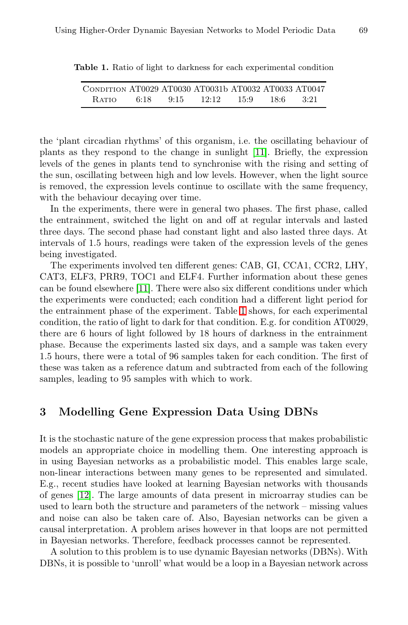| CONDITION AT0029 AT0030 AT0031b AT0032 AT0033 AT0047 |      |      |       |      |      |      |
|------------------------------------------------------|------|------|-------|------|------|------|
| R atio                                               | 6.18 | 9:15 | 12.12 | 15.9 | 18.6 | 3.21 |

<span id="page-2-0"></span>Table 1. Ratio of light to darkness for each experimental condition

the 'plant circadian rhythms' of this organism, i.e. the oscillating behaviour of plants as they respond to the change in sunlight [\[11\]](#page-11-8). Briefly, the expression levels of the genes in plants tend to synchronise with the rising and setting of the sun, oscillating between high and low levels. However, when the light source is removed, the expression levels continue to oscillate with the same frequency, with the behaviour decaying over time.

In the experiments, there were in general two phases. The first phase, called the entrainment, switched the light on and off at regular intervals and lasted three days. The second phase had constant light and also lasted three days. At intervals of 1.5 hours, readings were taken of the expression levels of the genes being investigated.

The experiments involved ten different genes: CAB, GI, CCA1, CCR2, LHY, CAT3, ELF3, PRR9, TOC1 and ELF4. Further information about these genes can be found elsewhere [\[11\]](#page-11-8). There were also six different conditions under which the experiments were conducted; each condition had a different light period for the entrainment phase of the experiment. Table [1](#page-2-0) shows, for each experimental condition, the ratio of light to dark for that condition. E.g. for condition AT0029, there are 6 hours of light followed by 18 hours of darkness in the entrainment phase. Because the experiments lasted six days, and a sample was taken every 1.5 hours, there were a total of 96 samples taken for each condition. The first of these was taken as a reference datum and subtracted from each of the following samples, leading to 95 samples with which to work.

# 3 Modelling Gene Expression Data Using DBNs

It is the stochastic nature of the gene expression process that makes probabilistic models an appropriate choice in modelling them. One interesting approach is in using Bayesian networks as a probabilistic model. This enables large scale, non-linear interactions between many genes to be represented and simulated. E.g., recent studies have looked at learning Bayesian networks with thousands of genes [\[12\]](#page-11-7). The large amounts of data present in microarray studies can be used to learn both the structure and parameters of the network – missing values and noise can also be taken care of. Also, Bayesian networks can be given a causal interpretation. A problem arises however in that loops are not permitted in Bayesian networks. Therefore, feedback processes cannot be represented.

A solution to this problem is to use dynamic Bayesian networks (DBNs). With DBNs, it is possible to 'unroll' what would be a loop in a Bayesian network across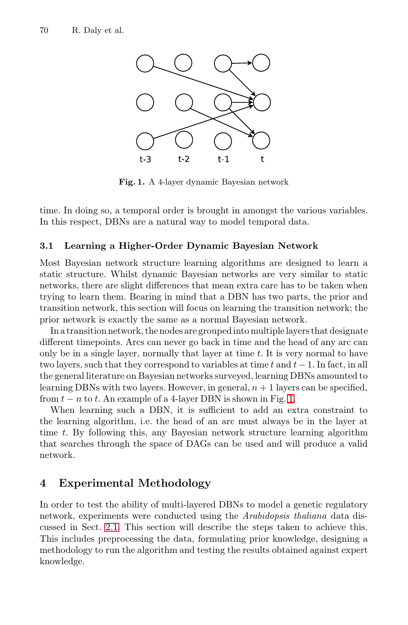<span id="page-3-0"></span>

Fig. 1. A 4-layer dynamic Bayesian network

time. In doing so, a temporal order is brought in amongst the various variables. In this respect, DBNs are a natural way to model temporal data.

#### 3.1 Learning a Higher-Order Dynamic Bayesian Network

Most Bayesian network structure learning algorithms are designed to learn a static structure. Whilst dynamic Bayesian networks are very similar to static networks, there are slight differences that mean extra care has to be taken when trying to learn them. Bearing in mind that a DBN has two parts, the prior and transition network, this section will focus on learning the transition network; the prior network is exactly the same as a normal Bayesian network.

In a transition network, the nodes are grouped into multiple layers that designate different timepoints. Arcs can never go back in time and the head of any arc can only be in a single layer, normally that layer at time  $t$ . It is very normal to have two layers, such that they correspond to variables at time t and  $t - 1$ . In fact, in all the general literature on Bayesian networks surveyed, learning DBNs amounted to learning DBNs with two layers. However, in general,  $n + 1$  layers can be specified, from  $t - n$  to t. An example of a 4-layer DBN is shown in Fig. [1.](#page-3-0)

When learning such a DBN, it is sufficient to add an extra constraint to the learning algorithm, i.e. the head of an arc must always be in the layer at time t. By following this, any Bayesian network structure learning algorithm that searches through the space of DAGs can be used and will produce a valid network.

# 4 Experimental Methodology

In order to test the ability of multi-layered DBNs to model a genetic regulatory network, experiments were conducted using the Arabidopsis thaliana data discussed in Sect. [2.1.](#page-1-0) This section will describe the steps taken to achieve this. This includes preprocessing the data, formulating prior knowledge, designing a methodology to run the algorithm and testing the results obtained against expert knowledge.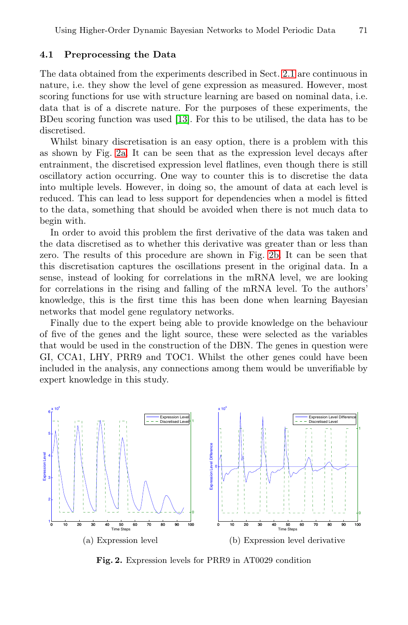#### 4.1 Preprocessing the Data

The data obtained from the experiments described in Sect. [2.1](#page-1-0) are continuous in nature, i.e. they show the level of gene expression as measured. However, most scoring functions for use with structure learning are based on nominal data, i.e. data that is of a discrete nature. For the purposes of these experiments, the BDeu scoring function was used [\[13\]](#page-11-9). For this to be utilised, the data has to be discretised.

Whilst binary discretisation is an easy option, there is a problem with this as shown by Fig. [2a.](#page-4-1) It can be seen that as the expression level decays after entrainment, the discretised expression level flatlines, even though there is still oscillatory action occurring. One way to counter this is to discretise the data into multiple levels. However, in doing so, the amount of data at each level is reduced. This can lead to less support for dependencies when a model is fitted to the data, something that should be avoided when there is not much data to begin with.

In order to avoid this problem the first derivative of the data was taken and the data discretised as to whether this derivative was greater than or less than zero. The results of this procedure are shown in Fig. [2b.](#page-4-0) It can be seen that this discretisation captures the oscillations present in the original data. In a sense, instead of looking for correlations in the mRNA level, we are looking for correlations in the rising and falling of the mRNA level. To the authors' knowledge, this is the first time this has been done when learning Bayesian networks that model gene regulatory networks.

<span id="page-4-1"></span>Finally due to the expert being able to provide knowledge on the behaviour of five of the genes and the light source, these were selected as the variables that would be used in the construction of the DBN. The genes in question were GI, CCA1, LHY, PRR9 and TOC1. Whilst the other genes could have been included in the analysis, any connections among them would be unverifiable by expert knowledge in this study.



<span id="page-4-0"></span>Fig. 2. Expression levels for PRR9 in AT0029 condition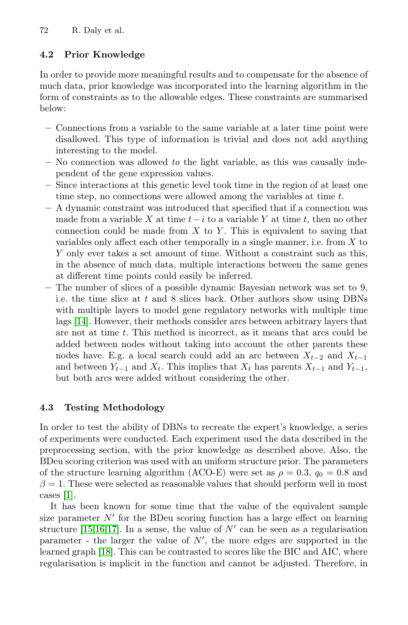# <span id="page-5-0"></span>4.2 Prior Knowledge

In order to provide more meaningful results and to compensate for the absence of much data, prior knowledge was incorporated into the learning algorithm in the form of constraints as to the allowable edges. These constraints are summarised below:

- Connections from a variable to the same variable at a later time point were disallowed. This type of information is trivial and does not add anything interesting to the model.
- No connection was allowed to the light variable, as this was causally independent of the gene expression values.
- Since interactions at this genetic level took time in the region of at least one time step, no connections were allowed among the variables at time t.
- A dynamic constraint was introduced that specified that if a connection was made from a variable X at time  $t-i$  to a variable Y at time t, then no other connection could be made from  $X$  to  $Y$ . This is equivalent to saying that variables only affect each other temporally in a single manner, i.e. from X to Y only ever takes a set amount of time. Without a constraint such as this, in the absence of much data, multiple interactions between the same genes at different time points could easily be inferred.
- The number of slices of a possible dynamic Bayesian network was set to 9, i.e. the time slice at  $t$  and  $8$  slices back. Other authors show using DBNs with multiple layers to model gene regulatory networks with multiple time lags [\[14\]](#page-11-11). However, their methods consider arcs between arbitrary layers that are not at time  $t$ . This method is incorrect, as it means that arcs could be added between nodes without taking into account the other parents these nodes have. E.g. a local search could add an arc between  $X_{t-2}$  and  $X_{t-1}$ and between  $Y_{t-1}$  and  $X_t$ . This implies that  $X_t$  has parents  $X_{t-1}$  and  $Y_{t-1}$ , but both arcs were added without considering the other.

# 4.3 Testing Methodology

In order to test the ability of DBNs to recreate the expert's knowledge, a series of experiments were conducted. Each experiment used the data described in the preprocessing section, with the prior knowledge as described above. Also, the BDeu scoring criterion was used with an uniform structure prior. The parameters of the structure learning algorithm (ACO-E) were set as  $\rho = 0.3$ ,  $q_0 = 0.8$  and  $\beta = 1$ . These were selected as reasonable values that should perform well in most cases [\[1\]](#page-10-0).

It has been known for some time that the value of the equivalent sample size parameter  $N'$  for the BDeu scoring function has a large effect on learning structure [\[15,](#page-11-12)[16](#page-11-13)[,17\]](#page-11-14). In a sense, the value of  $N'$  can be seen as a regularisation parameter - the larger the value of  $N'$ , the more edges are supported in the learned graph [\[18\]](#page-11-10). This can be contrasted to scores like the BIC and AIC, where regularisation is implicit in the function and cannot be adjusted. Therefore, in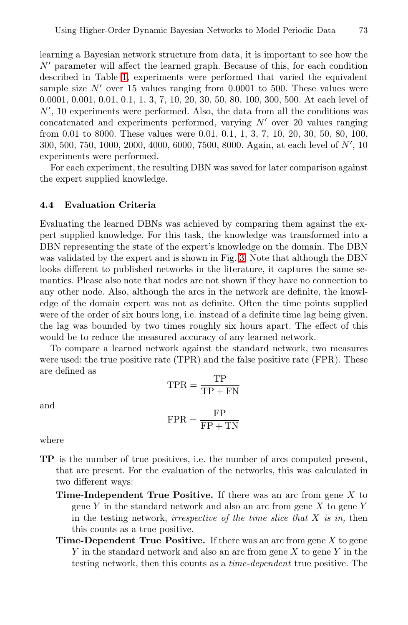learning a Bayesian network structure from data, it is important to see how the  $N'$  parameter will affect the learned graph. Because of this, for each condition described in Table [1,](#page-2-0) experiments were performed that varied the equivalent sample size  $N'$  over 15 values ranging from 0.0001 to 500. These values were 0.0001, 0.001, 0.01, 0.1, 1, 3, 7, 10, 20, 30, 50, 80, 100, 300, 500. At each level of  $N'$ , 10 experiments were performed. Also, the data from all the conditions was concatenated and experiments performed, varying  $N'$  over 20 values ranging from 0.01 to 8000. These values were 0.01, 0.1, 1, 3, 7, 10, 20, 30, 50, 80, 100, 300, 500, 750, 1000, 2000, 4000, 6000, 7500, 8000. Again, at each level of N" , 10 experiments were performed.

For each experiment, the resulting DBN was saved for later comparison against the expert supplied knowledge.

#### 4.4 Evaluation Criteria

Evaluating the learned DBNs was achieved by comparing them against the expert supplied knowledge. For this task, the knowledge was transformed into a DBN representing the state of the expert's knowledge on the domain. The DBN was validated by the expert and is shown in Fig. [3.](#page-7-0) Note that although the DBN looks different to published networks in the literature, it captures the same semantics. Please also note that nodes are not shown if they have no connection to any other node. Also, although the arcs in the network are definite, the knowledge of the domain expert was not as definite. Often the time points supplied were of the order of six hours long, i.e. instead of a definite time lag being given, the lag was bounded by two times roughly six hours apart. The effect of this would be to reduce the measured accuracy of any learned network.

To compare a learned network against the standard network, two measures were used: the true positive rate (TPR) and the false positive rate (FPR). These are defined as

and

$$
TPR = \frac{TP}{TP + FN}
$$

$$
FPR = \frac{FP}{FP + TN}
$$

where

- TP is the number of true positives, i.e. the number of arcs computed present, that are present. For the evaluation of the networks, this was calculated in two different ways:
	- **Time-Independent True Positive.** If there was an arc from gene  $X$  to gene Y in the standard network and also an arc from gene  $X$  to gene Y in the testing network, *irrespective of the time slice that*  $X$  *is in*, then this counts as a true positive.
	- **Time-Dependent True Positive.** If there was an arc from gene  $X$  to gene  $Y$  in the standard network and also an arc from gene  $X$  to gene  $Y$  in the testing network, then this counts as a time-dependent true positive. The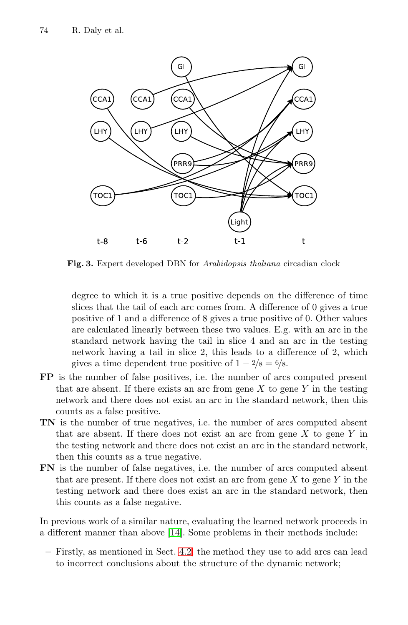<span id="page-7-0"></span>

Fig. 3. Expert developed DBN for Arabidopsis thaliana circadian clock

degree to which it is a true positive depends on the difference of time slices that the tail of each arc comes from. A difference of 0 gives a true positive of 1 and a difference of 8 gives a true positive of 0. Other values are calculated linearly between these two values. E.g. with an arc in the standard network having the tail in slice 4 and an arc in the testing network having a tail in slice 2, this leads to a difference of 2, which gives a time dependent true positive of  $1 - \frac{2}{8} = \frac{6}{8}$ .

- FP is the number of false positives, i.e. the number of arcs computed present that are absent. If there exists an arc from gene  $X$  to gene  $Y$  in the testing network and there does not exist an arc in the standard network, then this counts as a false positive.
- TN is the number of true negatives, i.e. the number of arcs computed absent that are absent. If there does not exist an arc from gene  $X$  to gene  $Y$  in the testing network and there does not exist an arc in the standard network, then this counts as a true negative.
- FN is the number of false negatives, i.e. the number of arcs computed absent that are present. If there does not exist an arc from gene  $X$  to gene  $Y$  in the testing network and there does exist an arc in the standard network, then this counts as a false negative.

In previous work of a similar nature, evaluating the learned network proceeds in a different manner than above [\[14\]](#page-11-11). Some problems in their methods include:

– Firstly, as mentioned in Sect. [4.2,](#page-5-0) the method they use to add arcs can lead to incorrect conclusions about the structure of the dynamic network;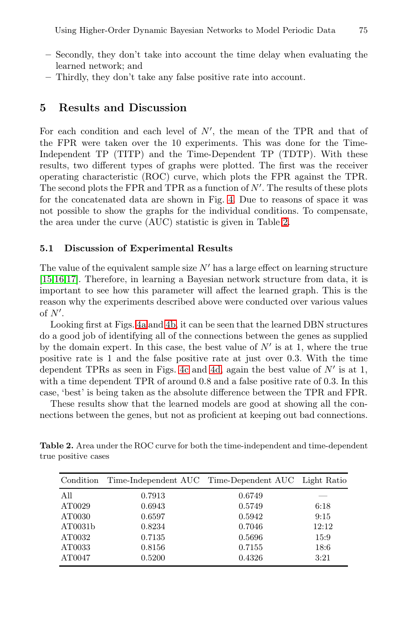- Secondly, they don't take into account the time delay when evaluating the learned network; and
- Thirdly, they don't take any false positive rate into account.

# 5 Results and Discussion

For each condition and each level of  $N'$ , the mean of the TPR and that of the FPR were taken over the 10 experiments. This was done for the Time-Independent TP (TITP) and the Time-Dependent TP (TDTP). With these results, two different types of graphs were plotted. The first was the receiver operating characteristic (ROC) curve, which plots the FPR against the TPR. The second plots the FPR and TPR as a function of  $N'$ . The results of these plots for the concatenated data are shown in Fig. [4.](#page-9-1) Due to reasons of space it was not possible to show the graphs for the individual conditions. To compensate, the area under the curve (AUC) statistic is given in Table [2.](#page-8-0)

#### 5.1 Discussion of Experimental Results

The value of the equivalent sample size  $N'$  has a large effect on learning structure [\[15,](#page-11-12)[16](#page-11-13)[,17\]](#page-11-14). Therefore, in learning a Bayesian network structure from data, it is important to see how this parameter will affect the learned graph. This is the reason why the experiments described above were conducted over various values of  $N'$ .

<span id="page-8-0"></span>Looking first at Figs. [4a](#page-9-2) and [4b,](#page-9-3) it can be seen that the learned DBN structures do a good job of identifying all of the connections between the genes as supplied by the domain expert. In this case, the best value of  $N'$  is at 1, where the true positive rate is 1 and the false positive rate at just over 0.3. With the time dependent TPRs as seen in Figs. [4c](#page-9-4) and [4d,](#page-9-0) again the best value of  $N'$  is at 1, with a time dependent TPR of around 0.8 and a false positive rate of 0.3. In this case, 'best' is being taken as the absolute difference between the TPR and FPR.

These results show that the learned models are good at showing all the connections between the genes, but not as proficient at keeping out bad connections.

| Condition                                              | Time-Independent AUC Time-Dependent AUC Light Ratio      |                                                          |                                       |
|--------------------------------------------------------|----------------------------------------------------------|----------------------------------------------------------|---------------------------------------|
| All<br>AT0029<br>AT0030<br>AT0031b<br>AT0032<br>AT0033 | 0.7913<br>0.6943<br>0.6597<br>0.8234<br>0.7135<br>0.8156 | 0.6749<br>0.5749<br>0.5942<br>0.7046<br>0.5696<br>0.7155 | 6:18<br>9:15<br>12:12<br>15:9<br>18:6 |
| AT0047                                                 | 0.5200                                                   | 0.4326                                                   | 3:21                                  |

Table 2. Area under the ROC curve for both the time-independent and time-dependent true positive cases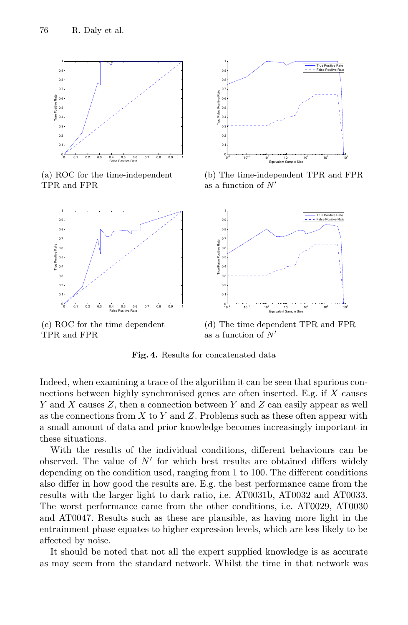<span id="page-9-2"></span><span id="page-9-1"></span>

(a) ROC for the time-independent TPR and FPR

<span id="page-9-4"></span>

(c) ROC for the time dependent TPR and FPR

<span id="page-9-3"></span>

(b) The time-independent TPR and FPR as a function of  $N'$ 

<span id="page-9-0"></span>

(d) The time dependent TPR and FPR as a function of  $N'$ 

Fig. 4. Results for concatenated data

Indeed, when examining a trace of the algorithm it can be seen that spurious connections between highly synchronised genes are often inserted. E.g. if X causes  $Y$  and  $X$  causes  $Z$ , then a connection between  $Y$  and  $Z$  can easily appear as well as the connections from  $X$  to  $Y$  and  $Z$ . Problems such as these often appear with a small amount of data and prior knowledge becomes increasingly important in these situations.

With the results of the individual conditions, different behaviours can be observed. The value of  $N'$  for which best results are obtained differs widely depending on the condition used, ranging from 1 to 100. The different conditions also differ in how good the results are. E.g. the best performance came from the results with the larger light to dark ratio, i.e. AT0031b, AT0032 and AT0033. The worst performance came from the other conditions, i.e. AT0029, AT0030 and AT0047. Results such as these are plausible, as having more light in the entrainment phase equates to higher expression levels, which are less likely to be affected by noise.

It should be noted that not all the expert supplied knowledge is as accurate as may seem from the standard network. Whilst the time in that network was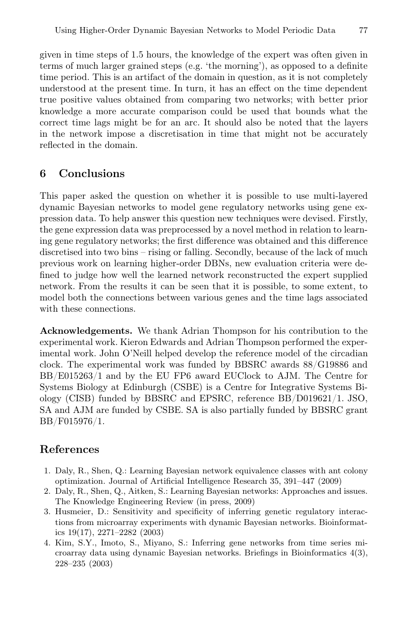given in time steps of 1.5 hours, the knowledge of the expert was often given in terms of much larger grained steps (e.g. 'the morning'), as opposed to a definite time period. This is an artifact of the domain in question, as it is not completely understood at the present time. In turn, it has an effect on the time dependent true positive values obtained from comparing two networks; with better prior knowledge a more accurate comparison could be used that bounds what the correct time lags might be for an arc. It should also be noted that the layers in the network impose a discretisation in time that might not be accurately reflected in the domain.

# 6 Conclusions

This paper asked the question on whether it is possible to use multi-layered dynamic Bayesian networks to model gene regulatory networks using gene expression data. To help answer this question new techniques were devised. Firstly, the gene expression data was preprocessed by a novel method in relation to learning gene regulatory networks; the first difference was obtained and this difference discretised into two bins – rising or falling. Secondly, because of the lack of much previous work on learning higher-order DBNs, new evaluation criteria were defined to judge how well the learned network reconstructed the expert supplied network. From the results it can be seen that it is possible, to some extent, to model both the connections between various genes and the time lags associated with these connections.

<span id="page-10-0"></span>Acknowledgements. We thank Adrian Thompson for his contribution to the experimental work. Kieron Edwards and Adrian Thompson performed the experimental work. John O'Neill helped develop the reference model of the circadian clock. The experimental work was funded by BBSRC awards 88/G19886 and BB/E015263/1 and by the EU FP6 award EUClock to AJM. The Centre for Systems Biology at Edinburgh (CSBE) is a Centre for Integrative Systems Biology (CISB) funded by BBSRC and EPSRC, reference BB/D019621/1. JSO, SA and AJM are funded by CSBE. SA is also partially funded by BBSRC grant BB/F015976/1.

### <span id="page-10-2"></span><span id="page-10-1"></span>References

- <span id="page-10-3"></span>1. Daly, R., Shen, Q.: Learning Bayesian network equivalence classes with ant colony optimization. Journal of Artificial Intelligence Research 35, 391–447 (2009)
- 2. Daly, R., Shen, Q., Aitken, S.: Learning Bayesian networks: Approaches and issues. The Knowledge Engineering Review (in press, 2009)
- 3. Husmeier, D.: Sensitivity and specificity of inferring genetic regulatory interactions from microarray experiments with dynamic Bayesian networks. Bioinformatics 19(17), 2271–2282 (2003)
- 4. Kim, S.Y., Imoto, S., Miyano, S.: Inferring gene networks from time series microarray data using dynamic Bayesian networks. Briefings in Bioinformatics 4(3), 228–235 (2003)